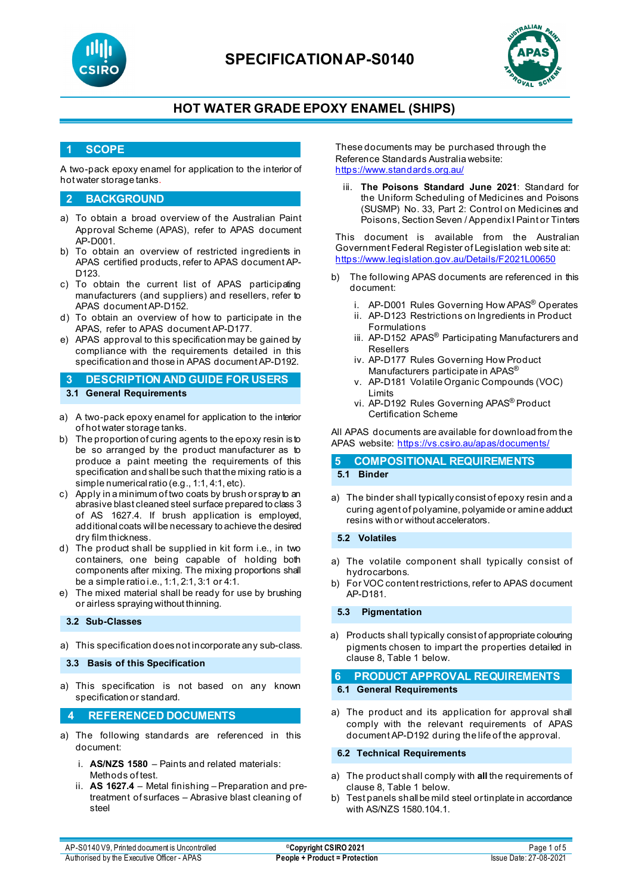



### **HOT WATER GRADE EPOXY ENAMEL (SHIPS)**

### **1 SCOPE**

A two-pack epoxy enamel for application to the interior of hot water storage tanks.

#### **2 BACKGROUND**

- a) To obtain a broad overview of the Australian Paint Approval Scheme (APAS), refer to APAS document AP-D001.
- b) To obtain an overview of restricted ingredients in APAS certified products, refer to APAS document AP-D123.
- c) To obtain the current list of APAS participating manufacturers (and suppliers) and resellers, refer to APAS document AP-D152.
- d) To obtain an overview of how to participate in the APAS, refer to APAS document AP-D177.
- e) APAS approval to this specification may be gained by compliance with the requirements detailed in this specification and those in APAS document AP-D192.

**3 DESCRIPTION AND GUIDE FOR USERS 3.1 General Requirements**

- a) A two-pack epoxy enamel for application to the interior of hot water storage tanks.
- b) The proportion of curing agents to the epoxy resin is to be so arranged by the product manufacturer as to produce a paint meeting the requirements of this specification and shall be such that the mixing ratio is a simple numerical ratio (e.g., 1:1, 4:1, etc).
- c) Apply in a minimum of two coats by brush or spray to an abrasive blast cleaned steel surface prepared to class 3 of AS 1627.4. If brush application is employed, additional coats will be necessary to achieve the desired dry film thickness.
- d) The product shall be supplied in kit form i.e., in two containers, one being capable of holding both components after mixing. The mixing proportions shall be a simple ratio i.e., 1:1, 2:1, 3:1 or 4:1.
- e) The mixed material shall be ready for use by brushing or airless spraying without thinning.

#### **3.2 Sub-Classes**

a) This specification does not incorporate any sub-class.

**3.3 Basis of this Specification**

a) This specification is not based on any known specification or standard.

#### **4 REFERENCED DOCUMENTS**

- a) The following standards are referenced in this document:
	- i. **AS/NZS 1580** Paints and related materials: Methods of test.
	- ii. **AS 1627.4** Metal finishing Preparation and pretreatment of surfaces – Abrasive blast cleaning of steel

These documents may be purchased through the Reference Standards Australia website: <https://www.standards.org.au/>

iii. **The Poisons Standard June 2021**: Standard for the Uniform Scheduling of Medicines and Poisons (SUSMP) No. 33, Part 2: Control on Medicines and Poisons, Section Seven / Appendix I Paint or Tinters

This document is available from the Australian Government Federal Register of Legislation web site at: <https://www.legislation.gov.au/Details/F2021L00650>

- b) The following APAS documents are referenced in this document:
	- i. AP-D001 Rules Governing How APAS® Operates
	- ii. AP-D123 Restrictions on Ingredients in Product Formulations
	- iii. AP-D152 APAS<sup>®</sup> Participating Manufacturers and Resellers
	- iv. AP-D177 Rules Governing How Product Manufacturers participate in APAS®
	- v. AP-D181 Volatile Organic Compounds (VOC) Limits
	- vi. AP-D192 Rules Governing APAS® Product Certification Scheme

All APAS documents are available for download from the APAS website: <https://vs.csiro.au/apas/documents/>

### **5 COMPOSITIONAL REQUIREMENTS 5.1 Binder**

a) The binder shall typically consist of epoxy resin and a curing agent of polyamine, polyamide or amine adduct resins with or without accelerators.

**5.2 Volatiles**

- a) The volatile component shall typically consist of hydrocarbons.
- b) For VOC content restrictions, refer to APAS document AP-D181.

**5.3 Pigmentation**

a) Products shall typically consist of appropriate colouring pigments chosen to impart the properties detailed in clause 8, Table 1 below.

**6 PRODUCT APPROVAL REQUIREMENTS 6.1 General Requirements**

a) The product and its application for approval shall comply with the relevant requirements of APAS document AP-D192 during the life of the approval.

**6.2 Technical Requirements**

- a) The product shall comply with **all** the requirements of clause 8, Table 1 below.
- b) Test panels shall be mild steel or tinplate in accordance with AS/NZS 1580.104.1.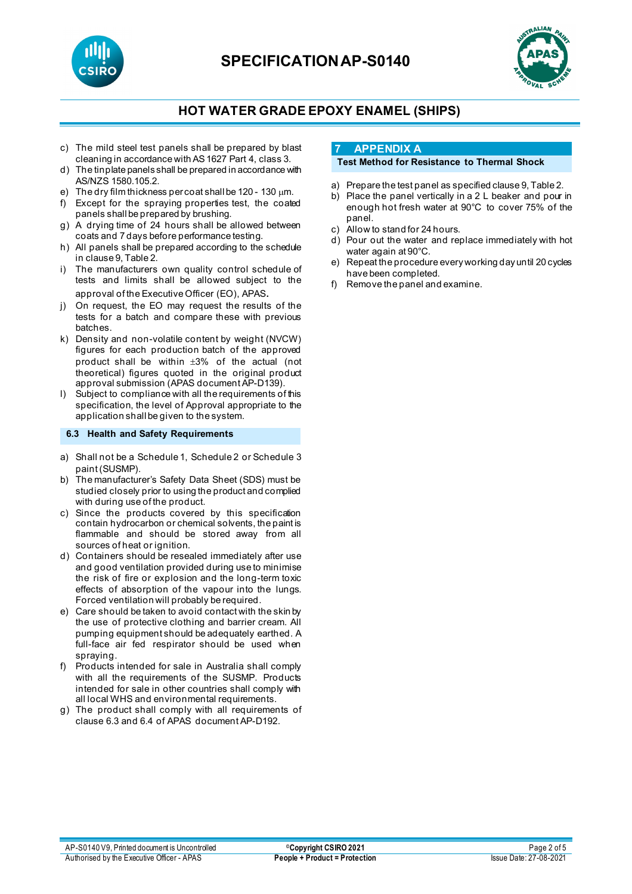



## **HOT WATER GRADE EPOXY ENAMEL (SHIPS)**

- c) The mild steel test panels shall be prepared by blast cleaning in accordance with AS 1627 Part 4, class 3.
- d) The tinplate panels shall be prepared in accordance with AS/NZS 1580.105.2.
- e) The dry film thickness per coat shall be 120 130 µm.
- f) Except for the spraying properties test, the coated panels shall be prepared by brushing.
- g) A drying time of 24 hours shall be allowed between coats and 7 days before performance testing.
- h) All panels shall be prepared according to the schedule in clause 9, Table 2.
- i) The manufacturers own quality control schedule of tests and limits shall be allowed subject to the approval of the Executive Officer (EO), APAS.
- j) On request, the EO may request the results of the tests for a batch and compare these with previous batches.
- k) Density and non-volatile content by weight (NVCW) figures for each production batch of the approved product shall be within  $\pm 3\%$  of the actual (not theoretical) figures quoted in the original product approval submission (APAS document AP-D139).
- l) Subject to compliance with all the requirements of this specification, the level of Approval appropriate to the application shall be given to the system.

#### **6.3 Health and Safety Requirements**

- a) Shall not be a Schedule 1, Schedule 2 or Schedule 3 paint (SUSMP).
- b) The manufacturer's Safety Data Sheet (SDS) must be studied closely prior to using the product and complied with during use of the product.
- c) Since the products covered by this specification contain hydrocarbon or chemical solvents, the paint is flammable and should be stored away from all sources of heat or ignition.
- d) Containers should be resealed immediately after use and good ventilation provided during use to minimise the risk of fire or explosion and the long-term toxic effects of absorption of the vapour into the lungs. Forced ventilation will probably be required.
- e) Care should be taken to avoid contact with the skin by the use of protective clothing and barrier cream. All pumping equipment should be adequately earthed. A full-face air fed respirator should be used when spraying.
- f) Products intended for sale in Australia shall comply with all the requirements of the SUSMP. Products intended for sale in other countries shall comply with all local WHS and environmental requirements.
- g) The product shall comply with all requirements of clause 6.3 and 6.4 of APAS document AP-D192.

### **7 APPENDIX A**

### **Test Method for Resistance to Thermal Shock**

- a) Prepare the test panel as specified clause 9, Table 2.
- b) Place the panel vertically in a 2 L beaker and pour in enough hot fresh water at 90°C to cover 75% of the panel.
- c) Allow to stand for 24 hours.
- d) Pour out the water and replace immediately with hot water again at 90°C.
- e) Repeat the procedure every working day until 20 cycles have been completed.
- f) Remove the panel and examine.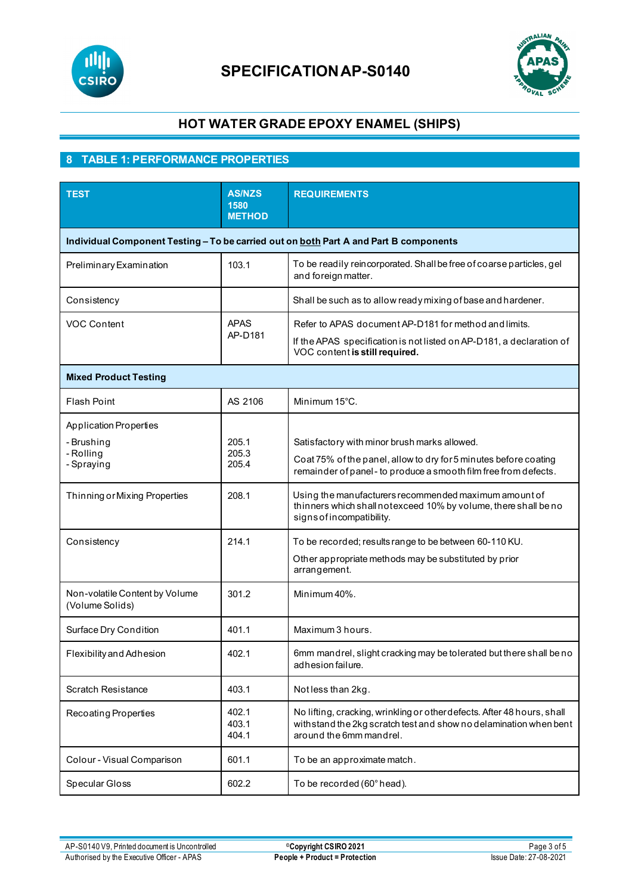



# **HOT WATER GRADE EPOXY ENAMEL (SHIPS)**

## **8 TABLE 1: PERFORMANCE PROPERTIES**

| <b>TEST</b>                                                                           | <b>AS/NZS</b><br>1580<br><b>METHOD</b> | <b>REQUIREMENTS</b>                                                                                                                                                                  |  |  |  |  |
|---------------------------------------------------------------------------------------|----------------------------------------|--------------------------------------------------------------------------------------------------------------------------------------------------------------------------------------|--|--|--|--|
| Individual Component Testing - To be carried out on both Part A and Part B components |                                        |                                                                                                                                                                                      |  |  |  |  |
| Preliminary Examination                                                               | 103.1                                  | To be readily reincorporated. Shall be free of coarse particles, gel<br>and foreign matter.                                                                                          |  |  |  |  |
| Consistency                                                                           |                                        | Shall be such as to allow ready mixing of base and hardener.                                                                                                                         |  |  |  |  |
| <b>VOC Content</b>                                                                    | <b>APAS</b><br>AP-D181                 | Refer to APAS document AP-D181 for method and limits.<br>If the APAS specification is not listed on AP-D181, a declaration of<br>VOC content is still required.                      |  |  |  |  |
| <b>Mixed Product Testing</b>                                                          |                                        |                                                                                                                                                                                      |  |  |  |  |
| <b>Flash Point</b>                                                                    | AS 2106                                | Minimum 15°C.                                                                                                                                                                        |  |  |  |  |
| <b>Application Properties</b><br>- Brushing<br>- Rolling<br>- Spraying                | 205.1<br>205.3<br>205.4                | Satisfactory with minor brush marks allowed.<br>Coat 75% of the panel, allow to dry for 5 minutes before coating<br>remainder of panel - to produce a smooth film free from defects. |  |  |  |  |
| Thinning or Mixing Properties                                                         | 208.1                                  | Using the manufacturers recommended maximum amount of<br>thinners which shall notexceed 10% by volume, there shall be no<br>signs of incompatibility.                                |  |  |  |  |
| Consistency                                                                           | 214.1                                  | To be recorded; results range to be between 60-110 KU.<br>Other appropriate methods may be substituted by prior<br>arrangement.                                                      |  |  |  |  |
| Non-volatile Content by Volume<br>(Volume Solids)                                     | 301.2                                  | Minimum 40%.                                                                                                                                                                         |  |  |  |  |
| Surface Dry Condition                                                                 | 401.1                                  | Maximum 3 hours.                                                                                                                                                                     |  |  |  |  |
| Flexibility and Adhesion                                                              | 402.1                                  | 6mm mandrel, slight cracking may be tolerated but there shall be no<br>adhesion failure.                                                                                             |  |  |  |  |
| <b>Scratch Resistance</b>                                                             | 403.1                                  | Notless than 2kg.                                                                                                                                                                    |  |  |  |  |
| Recoating Properties                                                                  | 402.1<br>403.1<br>404.1                | No lifting, cracking, wrinkling or other defects. After 48 hours, shall<br>with stand the 2kg scratch test and show no delamination when bent<br>around the 6mm mandrel.             |  |  |  |  |
| Colour - Visual Comparison                                                            | 601.1                                  | To be an approximate match.                                                                                                                                                          |  |  |  |  |
| Specular Gloss                                                                        | 602.2                                  | To be recorded (60° head).                                                                                                                                                           |  |  |  |  |

AP-S0140 V9, Printed document is Uncontrolled **Copyright CSIRO 2021** Page 3 of 5<br>Authorised by the Executive Officer - APAS **People + Product = Protection** Issue Date: 27-08-2021 **Authorised by the Executive Officer - APAS**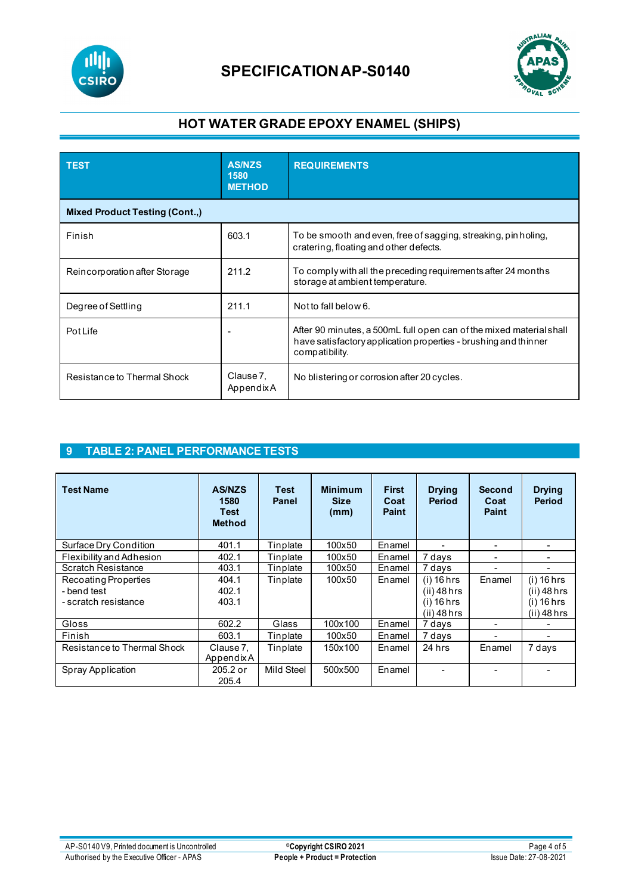



## **HOT WATER GRADE EPOXY ENAMEL (SHIPS)**

| <b>TEST</b>                           | <b>AS/NZS</b><br>1580<br><b>METHOD</b> | <b>REQUIREMENTS</b>                                                                                                                                      |  |  |  |  |
|---------------------------------------|----------------------------------------|----------------------------------------------------------------------------------------------------------------------------------------------------------|--|--|--|--|
| <b>Mixed Product Testing (Cont.,)</b> |                                        |                                                                                                                                                          |  |  |  |  |
| Finish                                | 603.1                                  | To be smooth and even, free of sagging, streaking, pin holing,<br>cratering, floating and other defects.                                                 |  |  |  |  |
| Reincorporation after Storage         | 211.2                                  | To comply with all the preceding requirements after 24 months<br>storage at ambient temperature.                                                         |  |  |  |  |
| Degree of Settling                    | 211.1                                  | Not to fall below 6.                                                                                                                                     |  |  |  |  |
| Pot Life                              |                                        | After 90 minutes, a 500mL full open can of the mixed material shall<br>have satisfactory application properties - brushing and thinner<br>compatibility. |  |  |  |  |
| Resistance to Thermal Shock           | Clause 7,<br>AppendixA                 | No blistering or corrosion after 20 cycles.                                                                                                              |  |  |  |  |

### **9 TABLE 2: PANEL PERFORMANCE TESTS**

| <b>Test Name</b>            | <b>AS/NZS</b><br>1580<br><b>Test</b><br><b>Method</b> | <b>Test</b><br><b>Panel</b> | <b>Minimum</b><br><b>Size</b><br>(mm) | <b>First</b><br>Coat<br><b>Paint</b> | <b>Drying</b><br><b>Period</b> | <b>Second</b><br>Coat<br><b>Paint</b> | <b>Drying</b><br><b>Period</b> |
|-----------------------------|-------------------------------------------------------|-----------------------------|---------------------------------------|--------------------------------------|--------------------------------|---------------------------------------|--------------------------------|
| Surface Dry Condition       | 401.1                                                 | Tinplate                    | 100x50                                | Enamel                               |                                |                                       |                                |
| Flexibility and Adhesion    | 402.1                                                 | Tinplate                    | 100x50                                | Enamel                               | 7 days                         |                                       |                                |
| Scratch Resistance          | 403.1                                                 | Tinplate                    | 100x50                                | Enamel                               | 7 days                         |                                       |                                |
| Recoating Properties        | 404.1                                                 | Tinplate                    | 100x50                                | Enamel                               | $(i)$ 16 hrs                   | Enamel                                | $(i)$ 16 hrs                   |
| - bend test                 | 402.1                                                 |                             |                                       |                                      | $(ii)$ 48 hrs                  |                                       | $(ii)$ 48 hrs                  |
| - scratch resistance        | 403.1                                                 |                             |                                       |                                      | $(i)$ 16 hrs                   |                                       | $(i)$ 16 hrs                   |
|                             |                                                       |                             |                                       |                                      | $(ii)$ 48 hrs                  |                                       | $(ii)$ 48 hrs                  |
| Gloss                       | 602.2                                                 | Glass                       | 100x100                               | Enamel                               | 7 days                         |                                       |                                |
| Finish                      | 603.1                                                 | Tinplate                    | 100x50                                | Enamel                               | 7 days                         |                                       |                                |
| Resistance to Thermal Shock | Clause 7.<br>Appendix A                               | Tinplate                    | 150x100                               | Enamel                               | 24 hrs                         | Enamel                                | 7 days                         |
| Spray Application           | $205.2$ or<br>205.4                                   | Mild Steel                  | 500x500                               | Enamel                               |                                |                                       |                                |